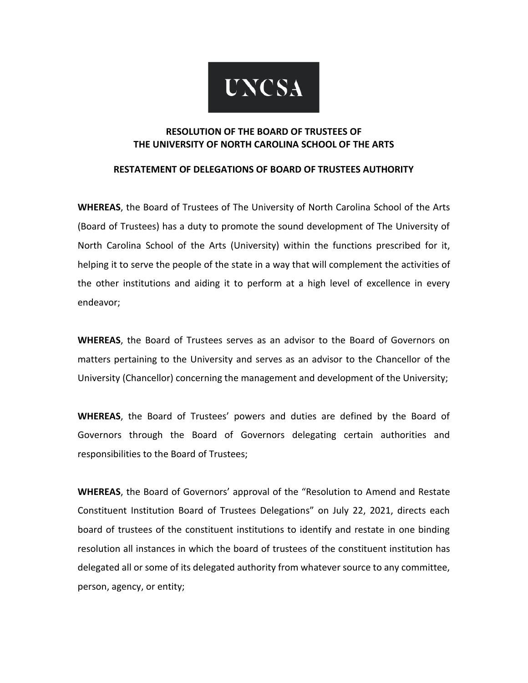

# **RESOLUTION OF THE BOARD OF TRUSTEES OF THE UNIVERSITY OF NORTH CAROLINA SCHOOL OF THE ARTS**

#### **RESTATEMENT OF DELEGATIONS OF BOARD OF TRUSTEES AUTHORITY**

**WHEREAS**, the Board of Trustees of The University of North Carolina School of the Arts (Board of Trustees) has a duty to promote the sound development of The University of North Carolina School of the Arts (University) within the functions prescribed for it, helping it to serve the people of the state in a way that will complement the activities of the other institutions and aiding it to perform at a high level of excellence in every endeavor;

**WHEREAS**, the Board of Trustees serves as an advisor to the Board of Governors on matters pertaining to the University and serves as an advisor to the Chancellor of the University (Chancellor) concerning the management and development of the University;

**WHEREAS**, the Board of Trustees' powers and duties are defined by the Board of Governors through the Board of Governors delegating certain authorities and responsibilities to the Board of Trustees;

**WHEREAS**, the Board of Governors' approval of the "Resolution to Amend and Restate Constituent Institution Board of Trustees Delegations" on July 22, 2021, directs each board of trustees of the constituent institutions to identify and restate in one binding resolution all instances in which the board of trustees of the constituent institution has delegated all or some of its delegated authority from whatever source to any committee, person, agency, or entity;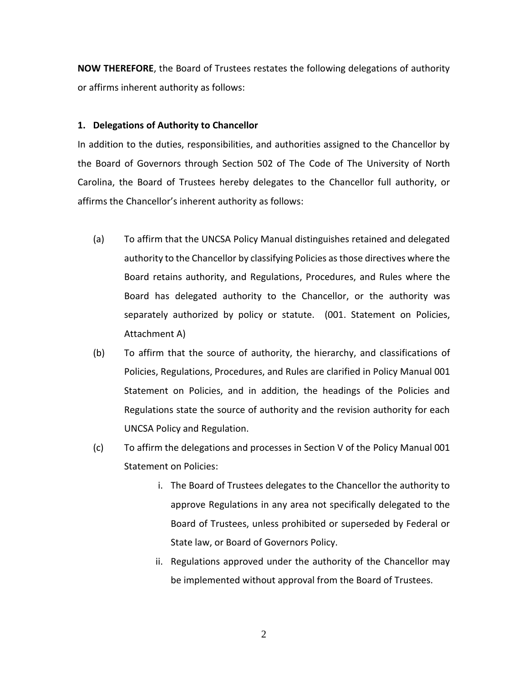**NOW THEREFORE**, the Board of Trustees restates the following delegations of authority or affirms inherent authority as follows:

#### **1. Delegations of Authority to Chancellor**

In addition to the duties, responsibilities, and authorities assigned to the Chancellor by the Board of Governors through Section 502 of The Code of The University of North Carolina, the Board of Trustees hereby delegates to the Chancellor full authority, or affirms the Chancellor's inherent authority as follows:

- (a) To affirm that the UNCSA Policy Manual distinguishes retained and delegated authority to the Chancellor by classifying Policies as those directives where the Board retains authority, and Regulations, Procedures, and Rules where the Board has delegated authority to the Chancellor, or the authority was separately authorized by policy or statute. (001. Statement on Policies, Attachment A)
- (b) To affirm that the source of authority, the hierarchy, and classifications of Policies, Regulations, Procedures, and Rules are clarified in Policy Manual 001 Statement on Policies, and in addition, the headings of the Policies and Regulations state the source of authority and the revision authority for each UNCSA Policy and Regulation.
- (c) To affirm the delegations and processes in Section V of the Policy Manual 001 Statement on Policies:
	- i. The Board of Trustees delegates to the Chancellor the authority to approve Regulations in any area not specifically delegated to the Board of Trustees, unless prohibited or superseded by Federal or State law, or Board of Governors Policy.
	- ii. Regulations approved under the authority of the Chancellor may be implemented without approval from the Board of Trustees.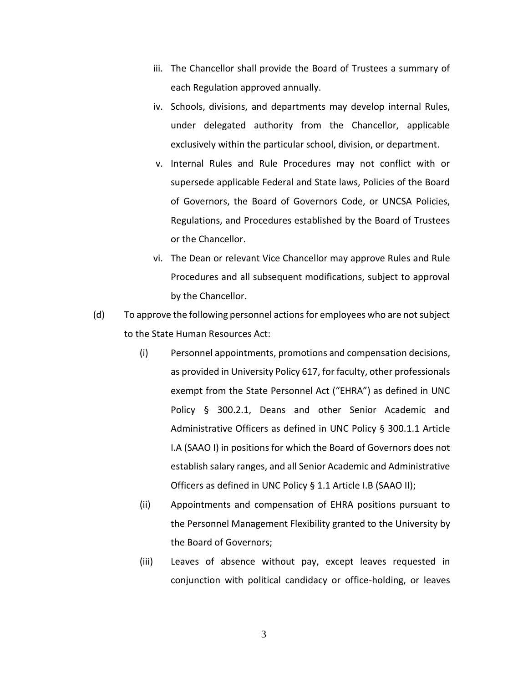- iii. The Chancellor shall provide the Board of Trustees a summary of each Regulation approved annually.
- iv. Schools, divisions, and departments may develop internal Rules, under delegated authority from the Chancellor, applicable exclusively within the particular school, division, or department.
- v. Internal Rules and Rule Procedures may not conflict with or supersede applicable Federal and State laws, Policies of the Board of Governors, the Board of Governors Code, or UNCSA Policies, Regulations, and Procedures established by the Board of Trustees or the Chancellor.
- vi. The Dean or relevant Vice Chancellor may approve Rules and Rule Procedures and all subsequent modifications, subject to approval by the Chancellor.
- (d) To approve the following personnel actions for employees who are not subject to the State Human Resources Act:
	- (i) Personnel appointments, promotions and compensation decisions, as provided in University Policy 617, for faculty, other professionals exempt from the State Personnel Act ("EHRA") as defined in UNC Policy § 300.2.1, Deans and other Senior Academic and Administrative Officers as defined in UNC Policy § 300.1.1 Article I.A (SAAO I) in positions for which the Board of Governors does not establish salary ranges, and all Senior Academic and Administrative Officers as defined in UNC Policy § 1.1 Article I.B (SAAO II);
	- (ii) Appointments and compensation of EHRA positions pursuant to the Personnel Management Flexibility granted to the University by the Board of Governors;
	- (iii) Leaves of absence without pay, except leaves requested in conjunction with political candidacy or office-holding, or leaves

3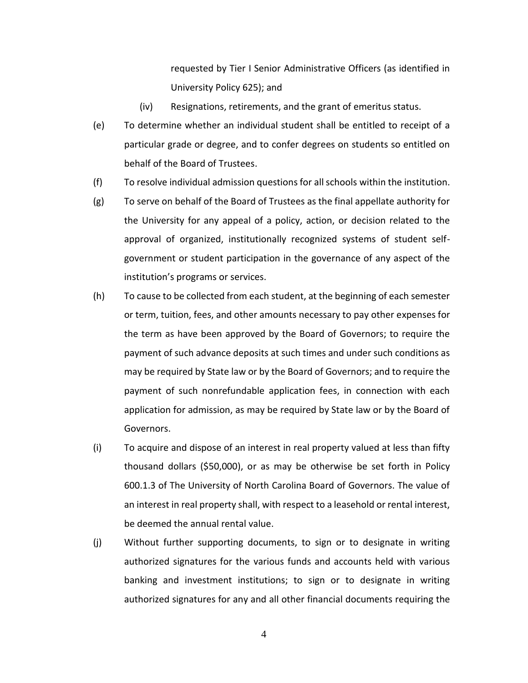requested by Tier I Senior Administrative Officers (as identified in University Policy 625); and

- (iv) Resignations, retirements, and the grant of emeritus status.
- (e) To determine whether an individual student shall be entitled to receipt of a particular grade or degree, and to confer degrees on students so entitled on behalf of the Board of Trustees.
- (f) To resolve individual admission questions for all schools within the institution.
- (g) To serve on behalf of the Board of Trustees as the final appellate authority for the University for any appeal of a policy, action, or decision related to the approval of organized, institutionally recognized systems of student selfgovernment or student participation in the governance of any aspect of the institution's programs or services.
- (h) To cause to be collected from each student, at the beginning of each semester or term, tuition, fees, and other amounts necessary to pay other expenses for the term as have been approved by the Board of Governors; to require the payment of such advance deposits at such times and under such conditions as may be required by State law or by the Board of Governors; and to require the payment of such nonrefundable application fees, in connection with each application for admission, as may be required by State law or by the Board of Governors.
- (i) To acquire and dispose of an interest in real property valued at less than fifty thousand dollars (\$50,000), or as may be otherwise be set forth in Policy 600.1.3 of The University of North Carolina Board of Governors. The value of an interest in real property shall, with respect to a leasehold or rental interest, be deemed the annual rental value.
- (j) Without further supporting documents, to sign or to designate in writing authorized signatures for the various funds and accounts held with various banking and investment institutions; to sign or to designate in writing authorized signatures for any and all other financial documents requiring the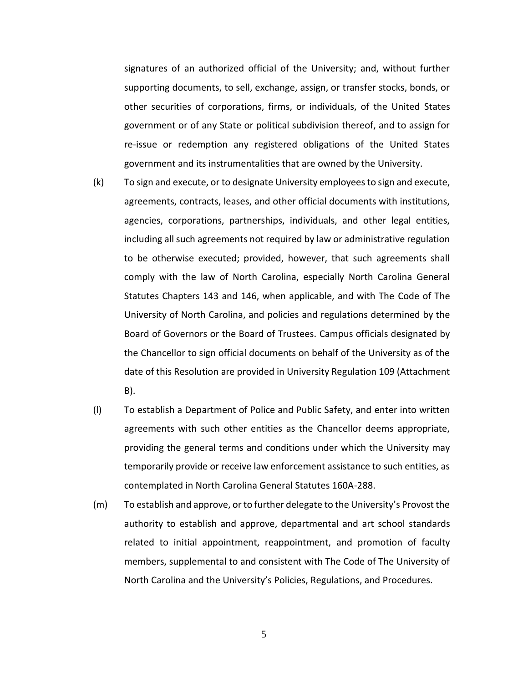signatures of an authorized official of the University; and, without further supporting documents, to sell, exchange, assign, or transfer stocks, bonds, or other securities of corporations, firms, or individuals, of the United States government or of any State or political subdivision thereof, and to assign for re-issue or redemption any registered obligations of the United States government and its instrumentalities that are owned by the University.

- (k) To sign and execute, or to designate University employees to sign and execute, agreements, contracts, leases, and other official documents with institutions, agencies, corporations, partnerships, individuals, and other legal entities, including all such agreements not required by law or administrative regulation to be otherwise executed; provided, however, that such agreements shall comply with the law of North Carolina, especially North Carolina General Statutes Chapters 143 and 146, when applicable, and with The Code of The University of North Carolina, and policies and regulations determined by the Board of Governors or the Board of Trustees. Campus officials designated by the Chancellor to sign official documents on behalf of the University as of the date of this Resolution are provided in University Regulation 109 (Attachment B).
- (l) To establish a Department of Police and Public Safety, and enter into written agreements with such other entities as the Chancellor deems appropriate, providing the general terms and conditions under which the University may temporarily provide or receive law enforcement assistance to such entities, as contemplated in North Carolina General Statutes 160A-288.
- (m) To establish and approve, or to further delegate to the University's Provost the authority to establish and approve, departmental and art school standards related to initial appointment, reappointment, and promotion of faculty members, supplemental to and consistent with The Code of The University of North Carolina and the University's Policies, Regulations, and Procedures.

5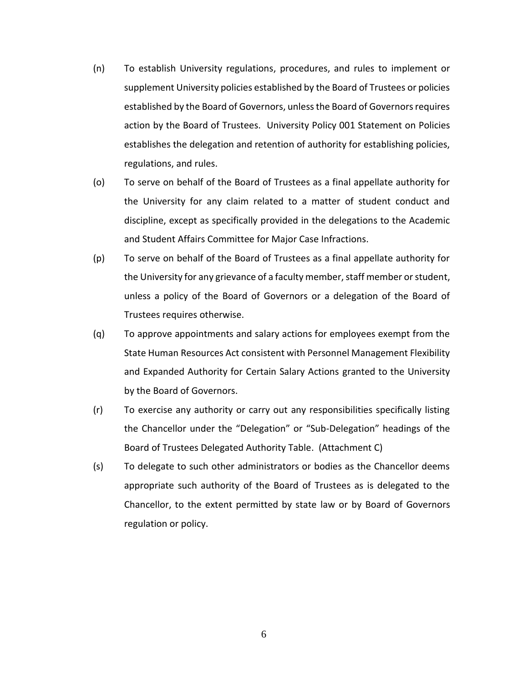- (n) To establish University regulations, procedures, and rules to implement or supplement University policies established by the Board of Trustees or policies established by the Board of Governors, unless the Board of Governors requires action by the Board of Trustees. University Policy 001 Statement on Policies establishes the delegation and retention of authority for establishing policies, regulations, and rules.
- (o) To serve on behalf of the Board of Trustees as a final appellate authority for the University for any claim related to a matter of student conduct and discipline, except as specifically provided in the delegations to the Academic and Student Affairs Committee for Major Case Infractions.
- (p) To serve on behalf of the Board of Trustees as a final appellate authority for the University for any grievance of a faculty member, staff member or student, unless a policy of the Board of Governors or a delegation of the Board of Trustees requires otherwise.
- (q) To approve appointments and salary actions for employees exempt from the State Human Resources Act consistent with Personnel Management Flexibility and Expanded Authority for Certain Salary Actions granted to the University by the Board of Governors.
- (r) To exercise any authority or carry out any responsibilities specifically listing the Chancellor under the "Delegation" or "Sub-Delegation" headings of the Board of Trustees Delegated Authority Table. (Attachment C)
- (s) To delegate to such other administrators or bodies as the Chancellor deems appropriate such authority of the Board of Trustees as is delegated to the Chancellor, to the extent permitted by state law or by Board of Governors regulation or policy.